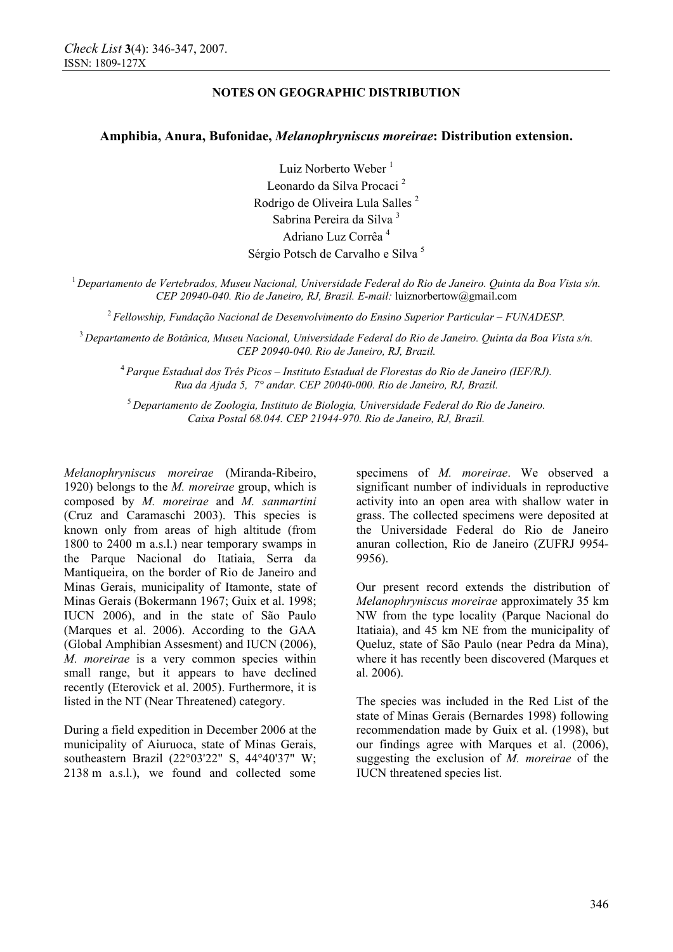## **NOTES ON GEOGRAPHIC DISTRIBUTION**

## **Amphibia, Anura, Bufonidae,** *Melanophryniscus moreirae***: Distribution extension.**

Luiz Norberto Weber<sup>1</sup> Leonardo da Silva Procaci <sup>2</sup> Rodrigo de Oliveira Lula Salles 2 Sabrina Pereira da Silva <sup>3</sup> Adriano Luz Corrêa <sup>4</sup> Sérgio Potsch de Carvalho e Silva 5

<sup>1</sup>*Departamento de Vertebrados, Museu Nacional, Universidade Federal do Rio de Janeiro. Quinta da Boa Vista s/n. CEP 20940-040. Rio de Janeiro, RJ, Brazil. E-mail:* luiznorbertow@gmail.com

<sup>2</sup>*Fellowship, Fundação Nacional de Desenvolvimento do Ensino Superior Particular – FUNADESP.* 

<sup>3</sup>*Departamento de Botânica, Museu Nacional, Universidade Federal do Rio de Janeiro. Quinta da Boa Vista s/n. CEP 20940-040. Rio de Janeiro, RJ, Brazil.* 

<sup>4</sup>*Parque Estadual dos Três Picos – Instituto Estadual de Florestas do Rio de Janeiro (IEF/RJ). Rua da Ajuda 5, 7° andar. CEP 20040-000. Rio de Janeiro, RJ, Brazil.* 

<sup>5</sup> *Departamento de Zoologia, Instituto de Biologia, Universidade Federal do Rio de Janeiro. Caixa Postal 68.044. CEP 21944-970. Rio de Janeiro, RJ, Brazil.* 

*Melanophryniscus moreirae* (Miranda-Ribeiro, 1920) belongs to the *M. moreirae* group, which is composed by *M. moreirae* and *M. sanmartini* (Cruz and Caramaschi 2003). This species is known only from areas of high altitude (from 1800 to 2400 m a.s.l.) near temporary swamps in the Parque Nacional do Itatiaia, Serra da Mantiqueira, on the border of Rio de Janeiro and Minas Gerais, municipality of Itamonte, state of Minas Gerais (Bokermann 1967; Guix et al. 1998; IUCN 2006), and in the state of São Paulo (Marques et al. 2006). According to the GAA (Global Amphibian Assesment) and IUCN (2006), *M. moreirae* is a very common species within small range, but it appears to have declined recently (Eterovick et al. 2005). Furthermore, it is listed in the NT (Near Threatened) category.

During a field expedition in December 2006 at the municipality of Aiuruoca, state of Minas Gerais, southeastern Brazil (22°03'22" S, 44°40'37" W; 2138 m a.s.l.), we found and collected some

specimens of *M. moreirae*. We observed a significant number of individuals in reproductive activity into an open area with shallow water in grass. The collected specimens were deposited at the Universidade Federal do Rio de Janeiro anuran collection, Rio de Janeiro (ZUFRJ 9954- 9956).

Our present record extends the distribution of *Melanophryniscus moreirae* approximately 35 km NW from the type locality (Parque Nacional do Itatiaia), and 45 km NE from the municipality of Queluz, state of São Paulo (near Pedra da Mina), where it has recently been discovered (Marques et al. 2006).

The species was included in the Red List of the state of Minas Gerais (Bernardes 1998) following recommendation made by Guix et al. (1998), but our findings agree with Marques et al. (2006), suggesting the exclusion of *M. moreirae* of the IUCN threatened species list.